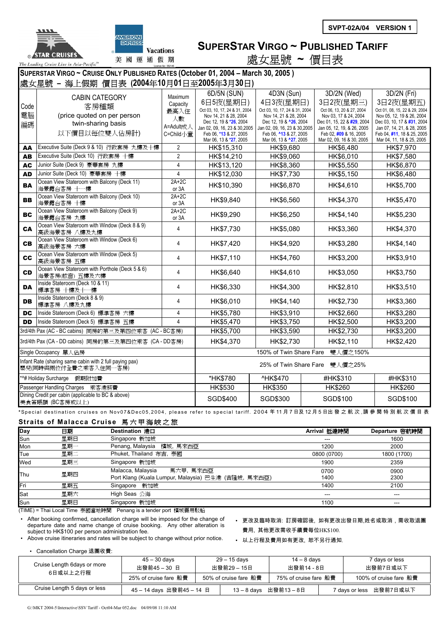



## **SUPERSTAR VIRGO ~ PUBLISHED TARIFF** 處女星號 **~** 價目表

**SUPERSTAR VIRGO ~ CRUISE ONLY PUBLISHED RATES (October 01, 2004 – March 30, 2005 )** 

|                                                                                  | 海上假期 價目表 (2004年10月01日至2005年3月30日)<br>處女星號 -                                   |                  |                                                 |                                                            |                                                     |                                                         |  |
|----------------------------------------------------------------------------------|-------------------------------------------------------------------------------|------------------|-------------------------------------------------|------------------------------------------------------------|-----------------------------------------------------|---------------------------------------------------------|--|
|                                                                                  | <b>CABIN CATEGORY</b>                                                         | Maximum          | 6D/5N (SUN)                                     | 4D3N (Sun)                                                 | 3D/2N (Wed)                                         | 3D/2N (Fri)                                             |  |
|                                                                                  |                                                                               | Capacity         | 6日5夜(星期日)                                       | 4日3夜(星期日)                                                  | 3日2夜(星期三)                                           | 3日2夜(星期五)                                               |  |
| Code                                                                             | 客房種類                                                                          | 最高入住             | Oct 03, 10, 17, 24 & 31, 2004                   | Oct 03, 10, 17, 24 & 31, 2004                              | Oct 06, 13, 20 & 27, 2004                           | Oct 01, 08, 15, 22 & 29, 2004                           |  |
| 電腦                                                                               | (price quoted on per person                                                   | 人數               | Nov 14, 21 & 28, 2004<br>Dec 12, 19 & *26, 2004 | Nov 14, 21 & 28, 2004<br>Dec 12, 19 & $^{\prime}$ 26, 2004 | Nov 03, 17 & 24, 2004<br>Dec 01, 15, 22 & #29, 2004 | Nov 05, 12, 19 & 26, 2004<br>Dec 03, 10, 17 & #31, 2004 |  |
| 編碼                                                                               | twin-sharing basis                                                            | A=Adult成人        | Jan 02, 09, 16, 23 & 30, 2005                   | Jan 02, 09, 16, 23 & 30,2005                               | Jan 05, 12, 19, & 26, 2005                          | Jan 07, 14, 21, & 28, 2005                              |  |
|                                                                                  | 以下價目以每位雙人佔房計)                                                                 | C=Child/下童       | Feb 06, *13 & 27, 2005                          | Feb 06, ^13 & 27, 2005                                     | Feb 02, #09 & 16, 2005                              | Feb 04, #11, 18 & 25, 2005                              |  |
|                                                                                  |                                                                               | $\overline{2}$   | Mar 06, 13 & *27, 2005<br>HK\$15,310            | Mar 06, 13 & ^27, 2005                                     | Mar 02, 09, 16 & 30, 2005                           | Mar 04, 11, 18 & 25, 2005<br>HK\$7,970                  |  |
| AA                                                                               | Executive Suite (Deck 9 & 10) 行政套房 九樓及十樓<br>Executive Suite (Deck 10) 行政套房 十樓 | $\overline{2}$   |                                                 | HK\$9,680                                                  | HK\$6,480                                           |                                                         |  |
| AB                                                                               |                                                                               |                  | HK\$14,210                                      | HK\$9,060                                                  | HK\$6,010                                           | HK\$7,580                                               |  |
| <b>AC</b>                                                                        | Junior Suite (Deck 9) 豪華套房 九樓                                                 | $\overline{4}$   | HK\$13,120                                      | HK\$8,360                                                  | HK\$5,550                                           | HK\$6,870                                               |  |
| <b>AD</b>                                                                        | Junior Suite (Deck 10) 豪華套房 十樓                                                | 4                | HK\$12,030                                      | HK\$7,730                                                  | HK\$5,150                                           | HK\$6,480                                               |  |
| <b>BA</b>                                                                        | Ocean View Stateroom with Balcony (Deck 11)<br>海景露台客房 十一樓                     | $2A+2C$<br>or 3A | HK\$10,390                                      | HK\$6,870                                                  | HK\$4,610                                           | HK\$5,700                                               |  |
| <b>BB</b>                                                                        | Ocean View Stateroom with Balcony (Deck 10)<br>海景露台客房 十樓                      | $2A+2C$<br>or 3A | HK\$9,840                                       | HK\$6,560                                                  | HK\$4,370                                           | HK\$5,470                                               |  |
| <b>BC</b>                                                                        | Ocean View Stateroom with Balcony (Deck 9)<br>海景露台客房 九樓                       | $2A+2C$<br>or 3A | HK\$9,290                                       | HK\$6,250                                                  | HK\$4,140                                           | HK\$5,230                                               |  |
| <b>CA</b>                                                                        | Ocean View Stateroom with Window (Deck 8 & 9)<br>高級海景客房 八樓及九樓                 | 4                | HK\$7,730                                       | HK\$5,080                                                  | HK\$3,360                                           | HK\$4,370                                               |  |
| <b>CB</b>                                                                        | Ocean View Stateroom with Window (Deck 6)<br>高級海景客房 六樓                        | 4                | HK\$7,420                                       | HK\$4,920                                                  | HK\$3,280                                           | HK\$4,140                                               |  |
| cc                                                                               | Ocean View Stateroom with Window (Deck 5)<br>高級海景客房 五樓                        | 4                | HK\$7,110                                       | HK\$4,760                                                  | HK\$3,200                                           | HK\$3,910                                               |  |
| <b>CD</b>                                                                        | Ocean View Stateroom with Porthole (Deck 5 & 6)<br>海景客房(舷窗) 五樓及六樓             | $\overline{4}$   | HK\$6,640                                       | HK\$4,610                                                  | HK\$3,050                                           | HK\$3,750                                               |  |
| DA                                                                               | Inside Stateroom (Deck 10 & 11)<br>標準客房 十樓及十一樓                                | 4                | HK\$6,330                                       | HK\$4,300                                                  | HK\$2,810                                           | HK\$3,510                                               |  |
| DB                                                                               | Inside Stateroom (Deck 8 & 9)<br>標準客房 八樓及九樓                                   | 4                | HK\$6,010                                       | HK\$4,140                                                  | HK\$2,730                                           | HK\$3,360                                               |  |
| <b>DC</b>                                                                        | Inside Stateroom (Deck 6) 標準客房 六樓                                             | 4                | HK\$5,780                                       | HK\$3,910                                                  | HK\$2,660                                           | HK\$3,280                                               |  |
| <b>DD</b>                                                                        | Inside Stateroom (Deck 5) 標準客房 五樓                                             | 4                | HK\$5,470                                       | HK\$3,750                                                  | HK\$2,500                                           | HK\$3,200                                               |  |
|                                                                                  | 3rd/4th Pax (AC - BC cabins) 同房的第三及第四位乘客 (AC - BC客房)                          |                  | HK\$5,700                                       | HK\$3,590                                                  | HK\$2,730                                           | HK\$3,200                                               |  |
| 3rd/4th Pax (CA - DD cabins) 同房的第三及第四位乘客 (CA - DD客房)                             |                                                                               |                  | HK\$4,370                                       | HK\$2,730                                                  | HK\$2,110                                           | HK\$2,420                                               |  |
| Single Occupancy 單人佔房                                                            |                                                                               |                  | 150% of Twin Share Fare<br>雙人價之150%             |                                                            |                                                     |                                                         |  |
| Infant Rate (sharing same cabin with 2 full paying pax)<br>嬰兒(同時與兩位付全費之乘客入住同一客房) |                                                                               |                  | 25% of Twin Share Fare<br>雙人價之25%               |                                                            |                                                     |                                                         |  |
| *^# Holiday Surcharge<br>假期附加費                                                   |                                                                               | *HK\$780         | <b>^HK\$470</b>                                 | #HK\$310                                                   | #HK\$310                                            |                                                         |  |
|                                                                                  | Passenger Handling Charges<br>乘客港務費                                           |                  | HK\$530                                         | HK\$350                                                    | HK\$260                                             | HK\$260                                                 |  |
|                                                                                  | Dining Credit per cabin (applicable to BC & above)<br>美食簽賬額 (BC客房或以上)         |                  | SGD\$400                                        | SGD\$300                                                   | SGD\$100                                            | SGD\$100                                                |  |

**\***Special destination cruises on Nov07&Dec05,2004, please refer to special tariff. 2004 年 11 月 7 日及 12 月 5 日出 發 之 航 次 ,請參閱特別航次價目表

## **Straits of Malacca Cruise** 馬六甲海峽之旅

| <b>Day</b> | 日期  | Destination 港口                                      | Arrival 抵達時間 | Departure 啓航時間 |
|------------|-----|-----------------------------------------------------|--------------|----------------|
| Sun        | 星期日 | Singapore 新加坡                                       | $---$        | 1600           |
| Mon        | 星期一 | 檳城,馬來西亞<br>Penang, Malaysia                         | 1200         | 2000           |
| Tue        | 星期二 | Phuket, Thailand 布吉, 泰國                             | 0800 (0700)  | 1800 (1700)    |
| Wed        | 星期三 | Singapore 新加坡                                       | 1900         | 2359           |
| Thu        | 星期四 | 馬六甲, 馬來西亞<br>Malacca, Malaysia                      | 0700         | 0900           |
|            |     | Port Klang (Kuala Lumpur, Malaysia) 巴生港 (吉隆坡, 馬來西亞) | 1400         | 2300           |
| Fri        | 星期五 | Singapore 新加坡                                       | 1400         | 2100           |
| Sat        | 星期六 | High Seas 公海                                        |              |                |
| Sun        | 星期日 | Singapore 新加坡                                       | 1100         | ---            |

(TIME) = Thai Local Time 泰國當地時間 Penang is a tender port 檳城需用駁船

• After booking confirmed, cancellation charge will be imposed for the change of departure date and name change of cruise booking. Any other alteration is subject to HK\$100 per person administration fee.

• 更改及臨時取消: 訂房確認後, 如有更改出發日期,姓名或取消,需收取退團 費用, 其他更改需收手續費每位HK\$100.

• Above cruise itineraries and rates will be subject to change without prior notice.

• 以上行程及費用如有更改, 恕不另行通知.

• Cancellation Charge 退團收費

|                                         | $45 - 30$ days        | 29 – 15 days |                       | 14 – 8 days           |  | <sup>7</sup> days or less  |  |
|-----------------------------------------|-----------------------|--------------|-----------------------|-----------------------|--|----------------------------|--|
| Cruise Length 6days or more<br>6日或以上之行程 | 出發前45-30日             | 出發前29-15日    |                       | 出發前14 - 8日            |  | 出發前7日或以下                   |  |
|                                         | 25% of cruise fare 船費 |              | 50% of cruise fare 船費 | 75% of cruise fare 船費 |  | 100% of cruise fare 船費     |  |
| Cruise Length 5 days or less            | 45-14 days 出發前45-14 日 |              |                       | 13-8 days 出發前13-8日    |  | 出發前7日或以下<br>7 days or less |  |